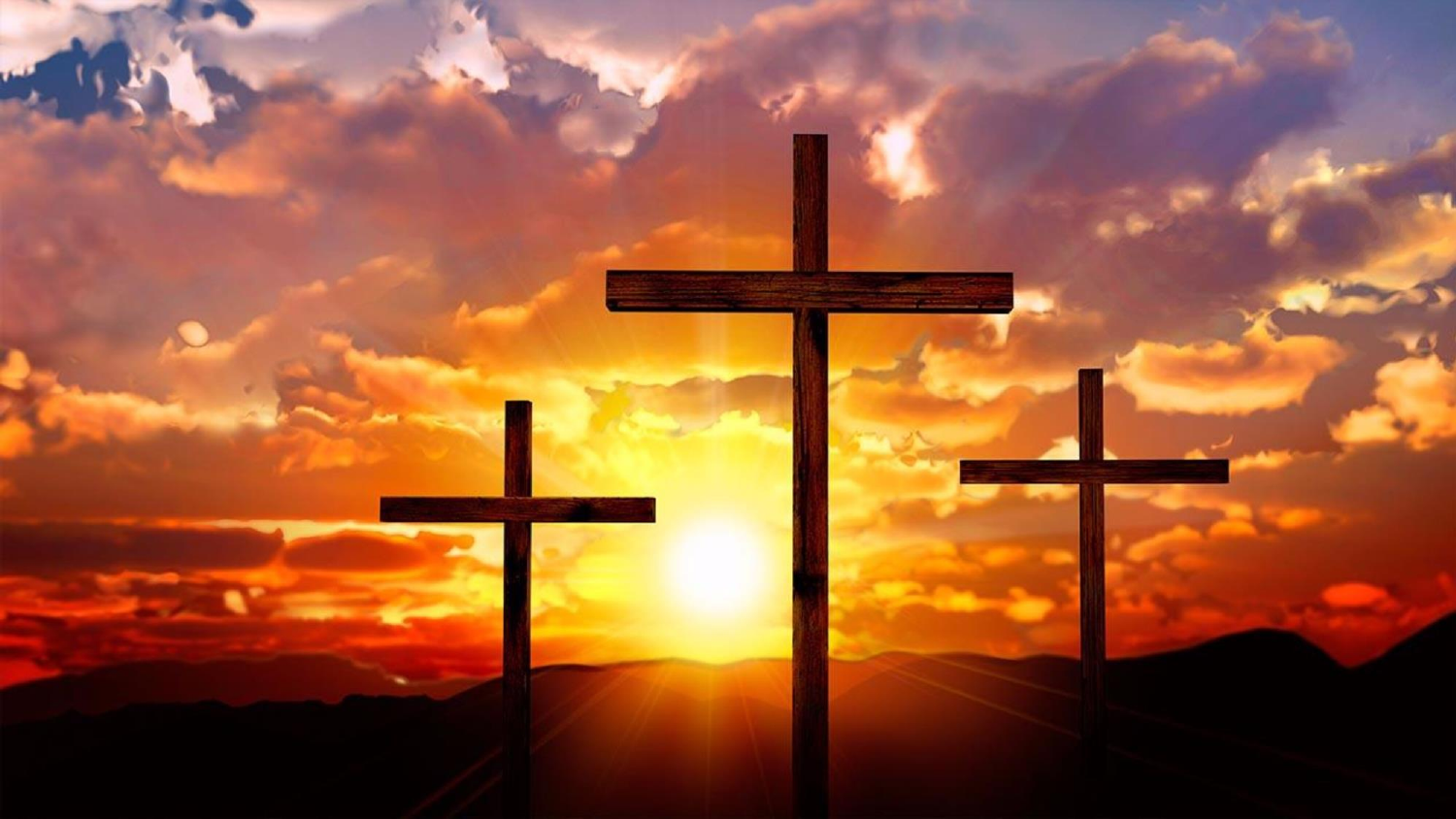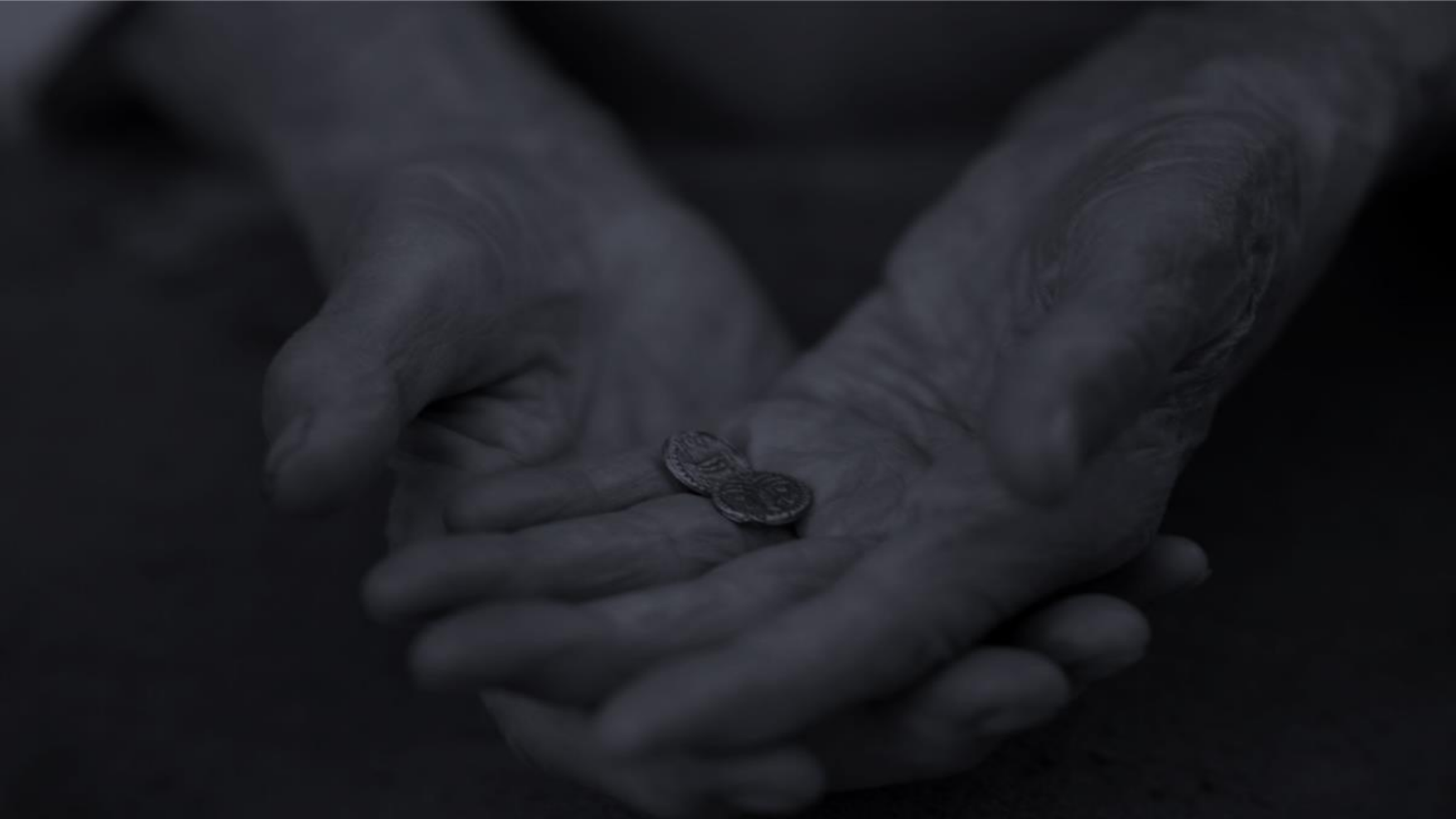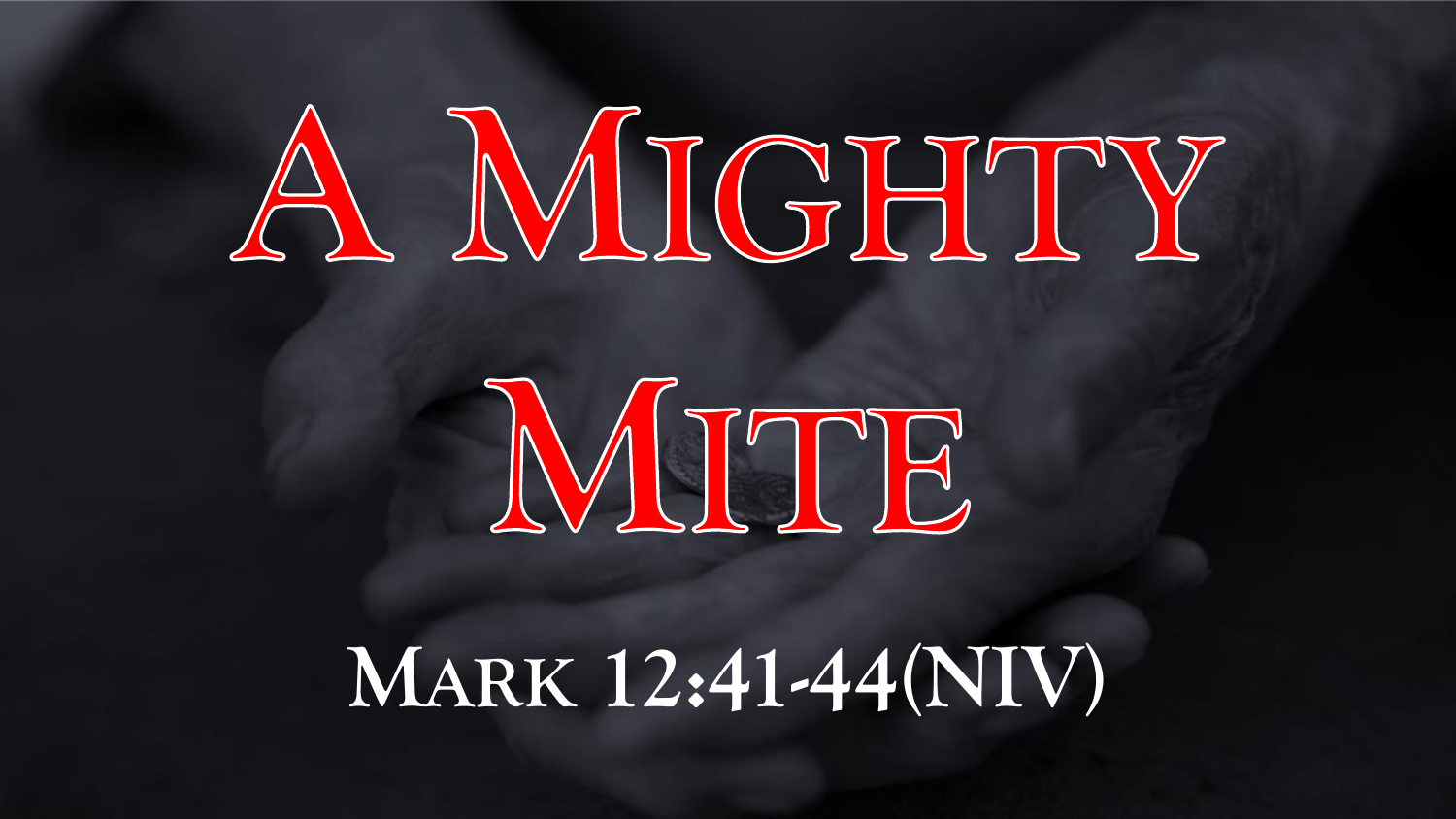# AMIGHTY



**MARK 12:41-44(NIV)**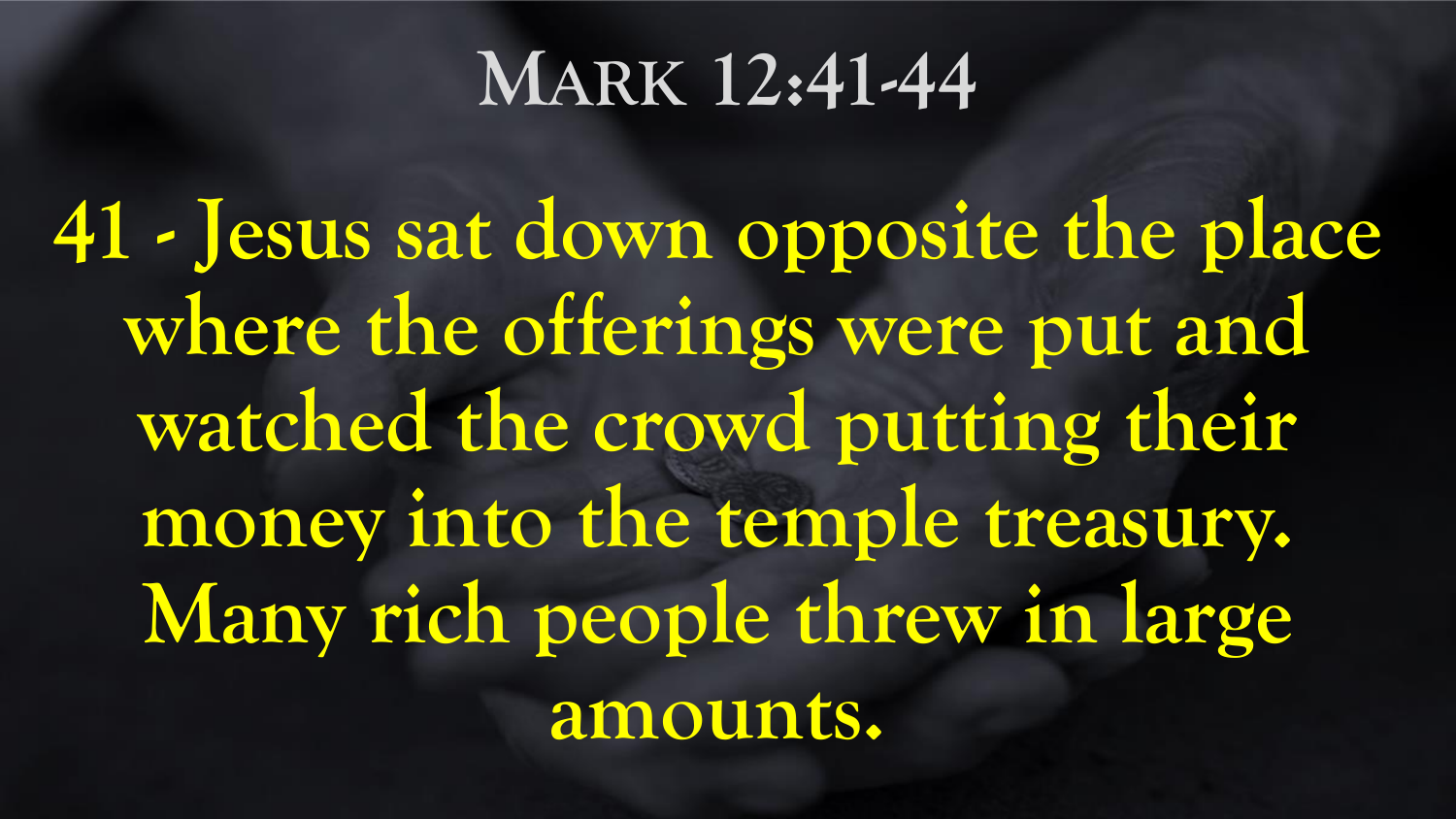**41 - Jesus sat down opposite the place where the offerings were put and watched the crowd putting their money into the temple treasury. Many rich people threw in large amounts.**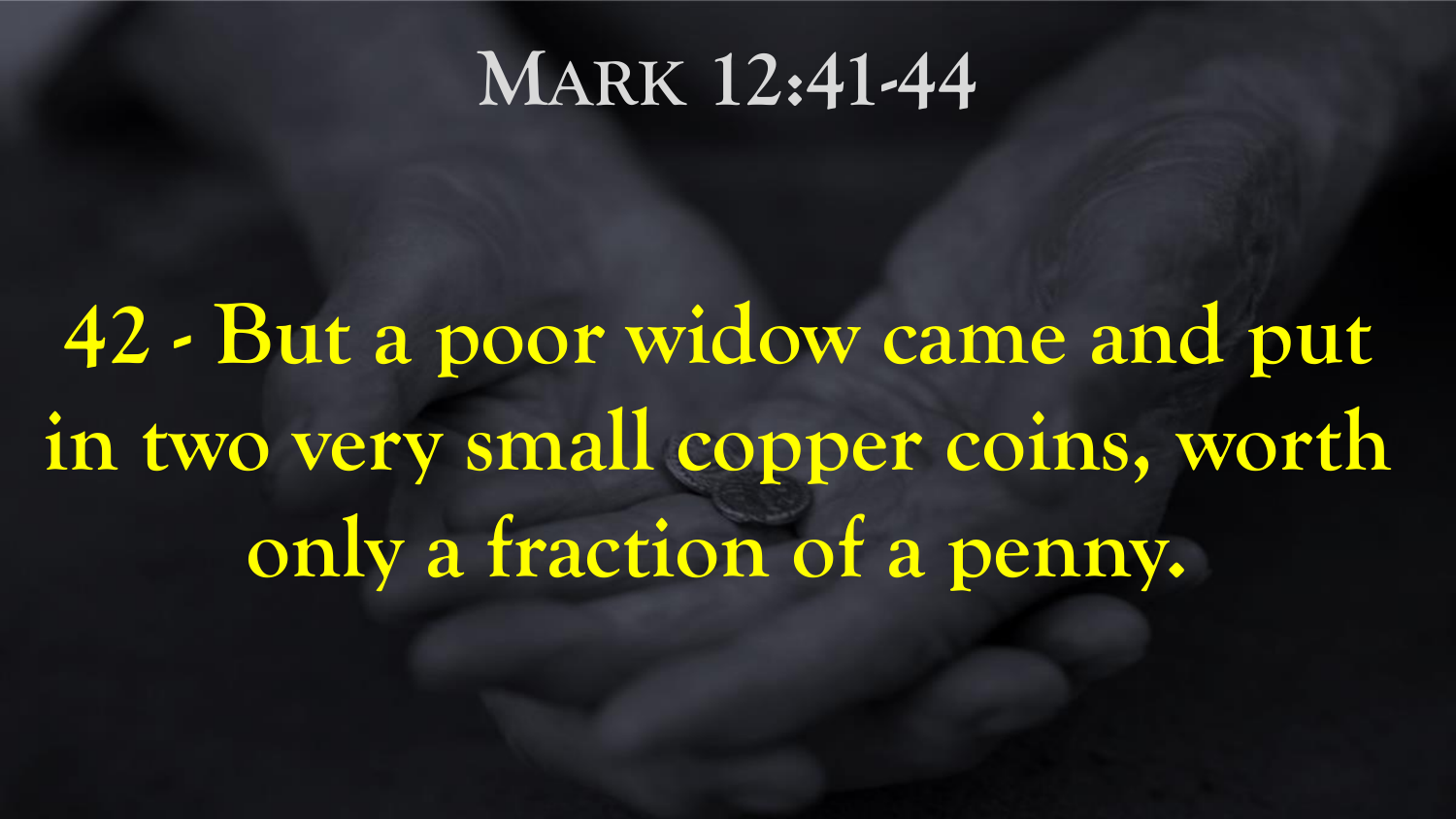**42 - But a poor widow came and put in two very small copper coins, worth only a fraction of a penny.**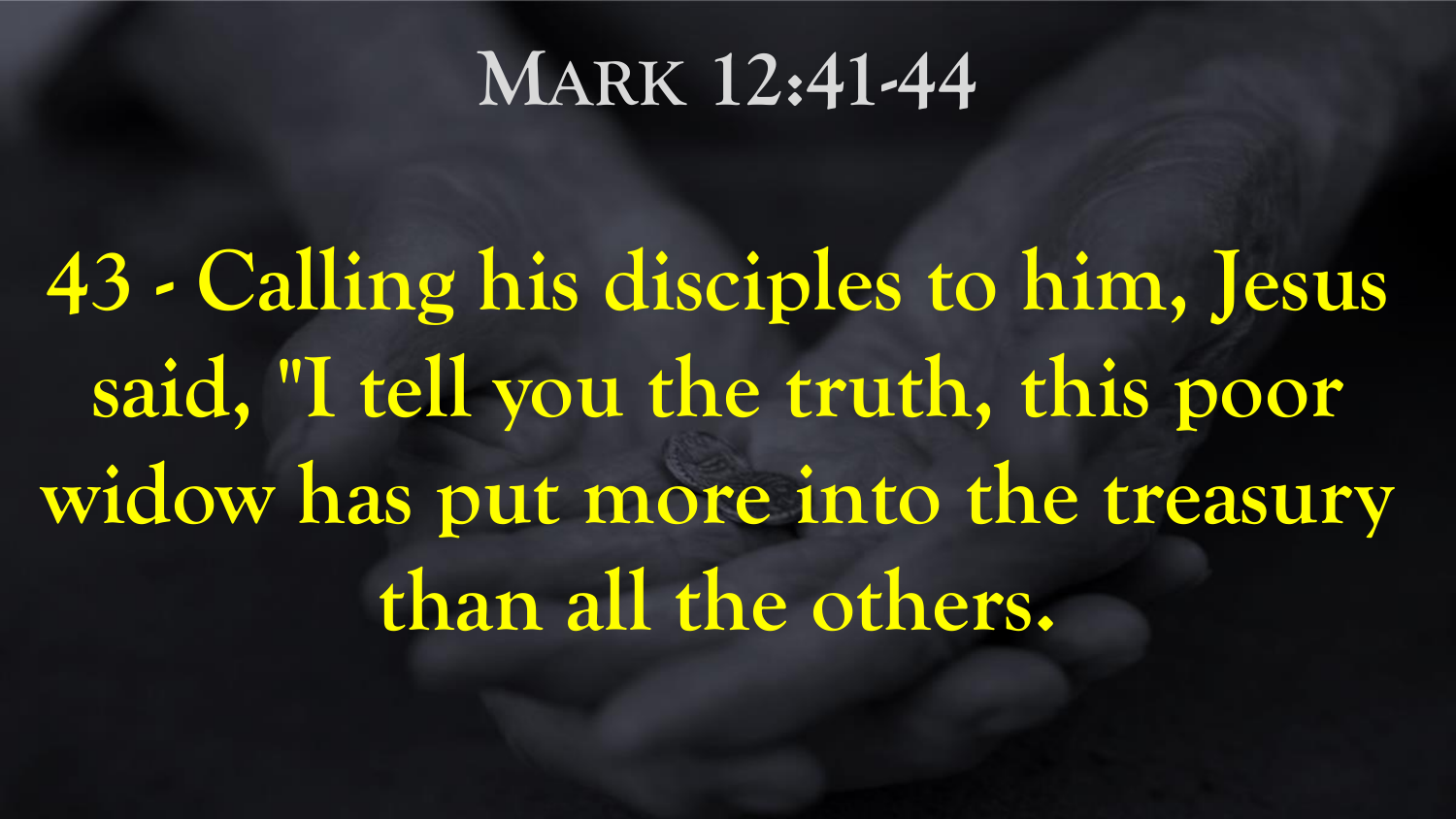**43 - Calling his disciples to him, Jesus said, "I tell you the truth, this poor widow has put more into the treasury than all the others.**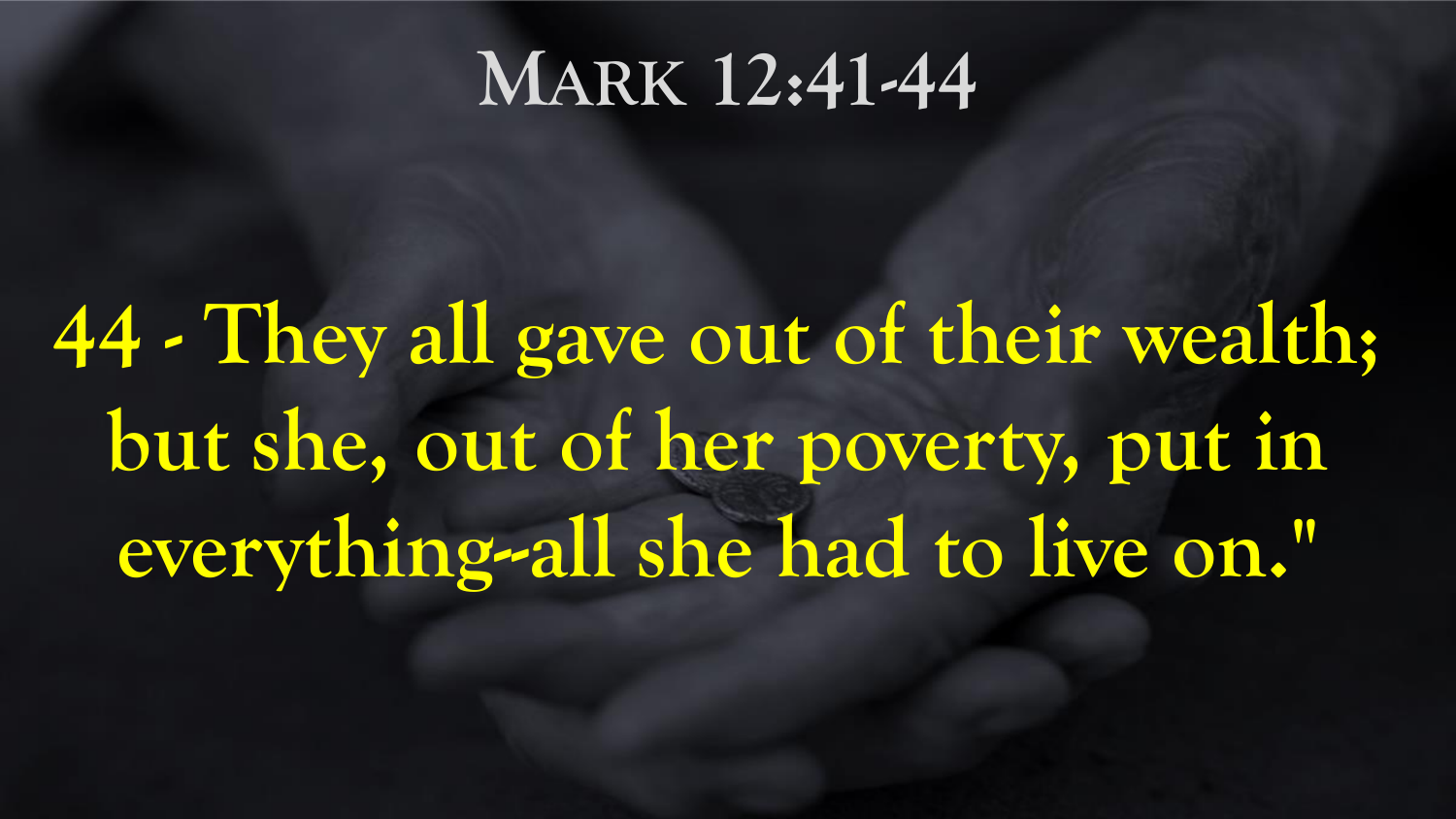**44 - They all gave out of their wealth; but she, out of her poverty, put in everything--all she had to live on."**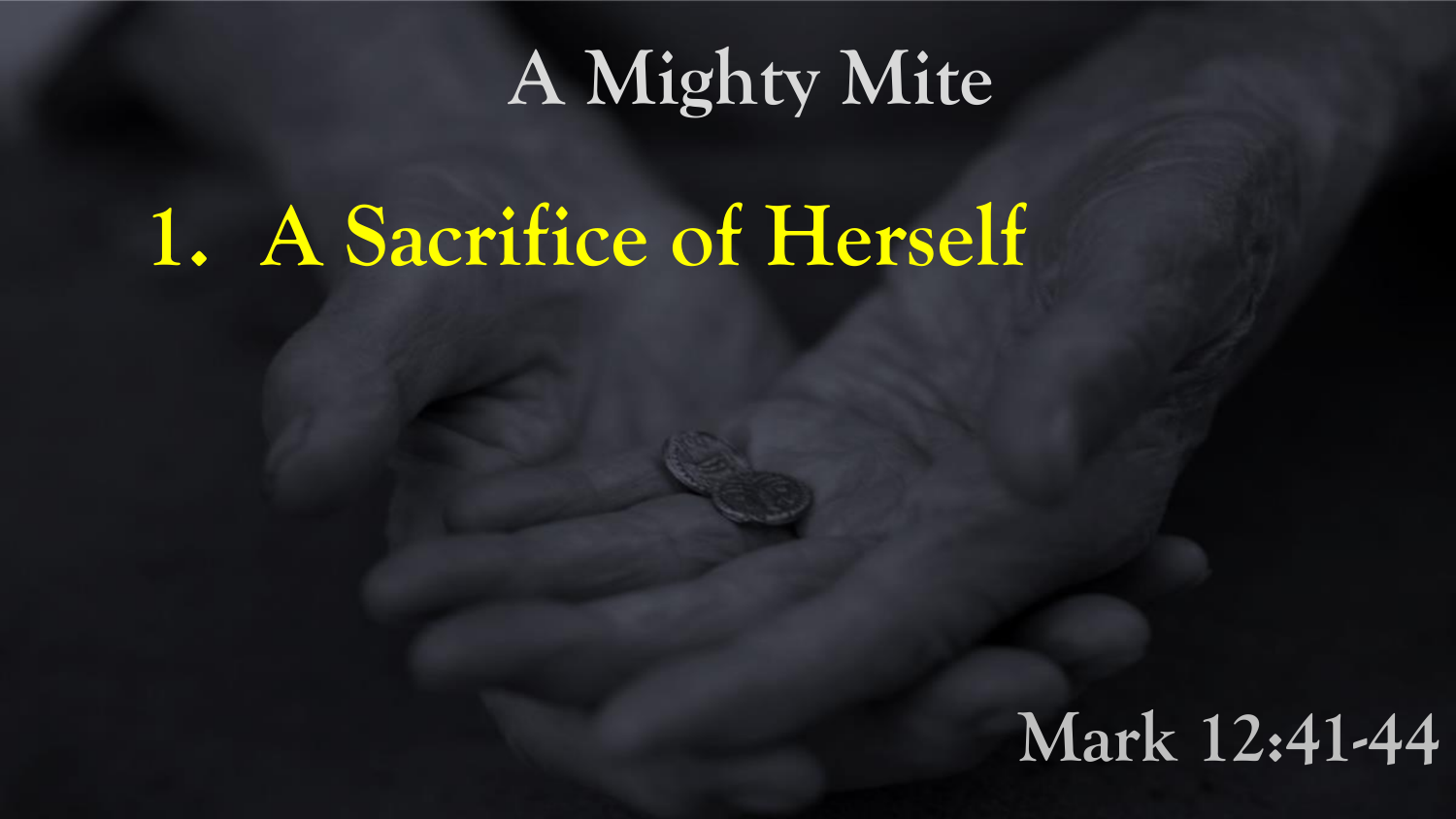# **1. A Sacrifice of Herself**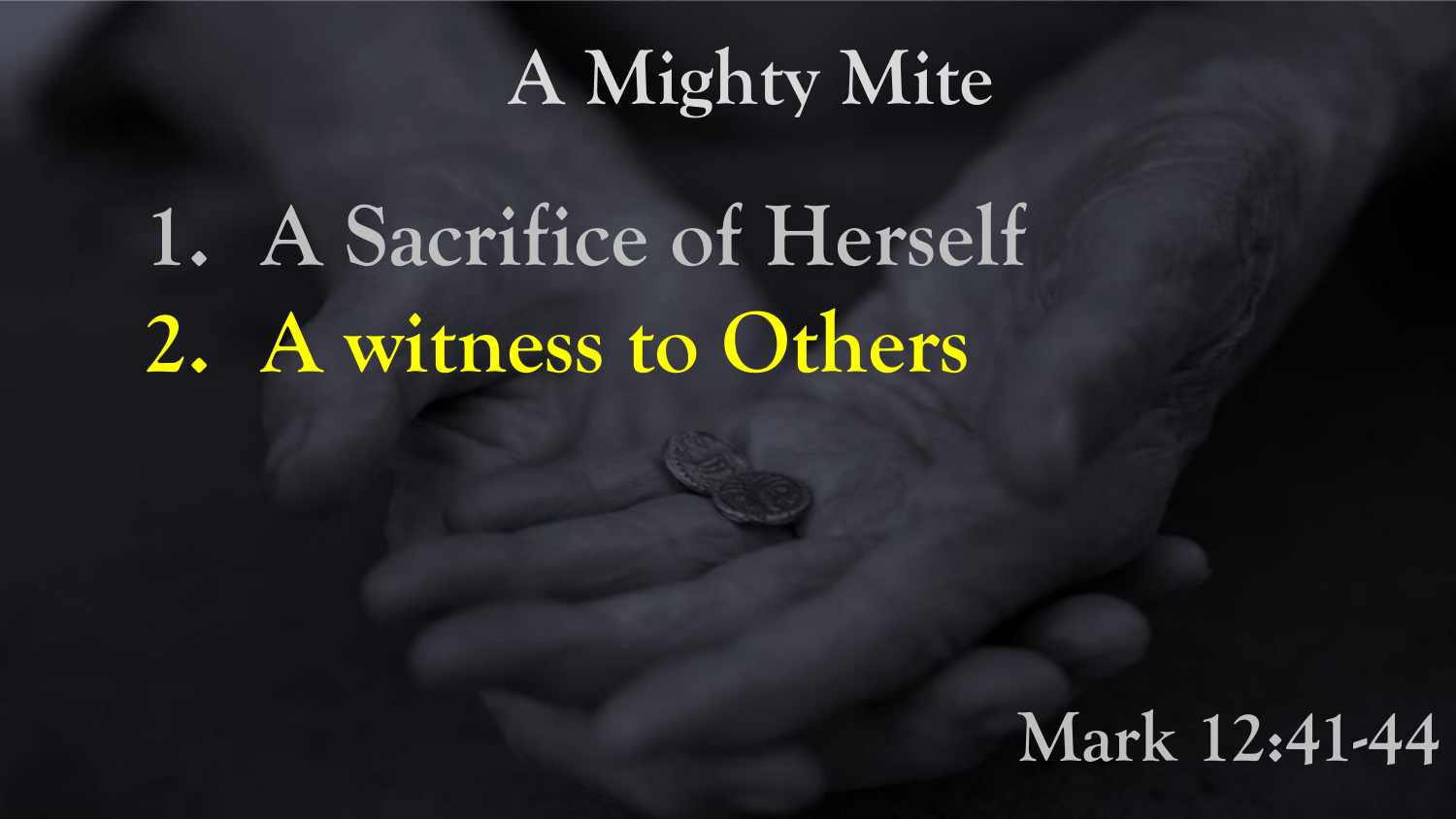**1. A Sacrifice of Herself 2. A witness to Others**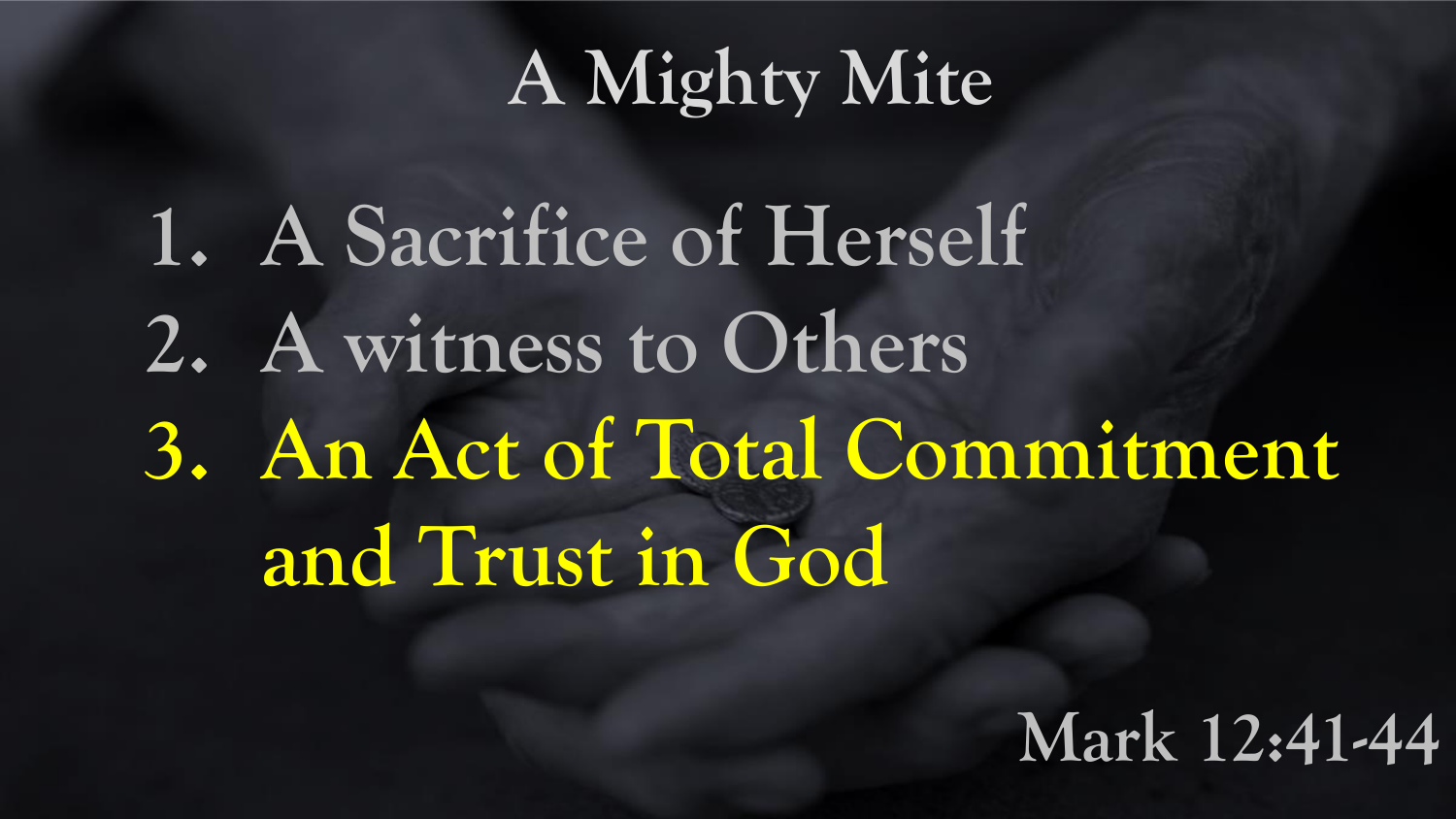**1. A Sacrifice of Herself 2. A witness to Others 3. An Act of Total Commitment and Trust in God**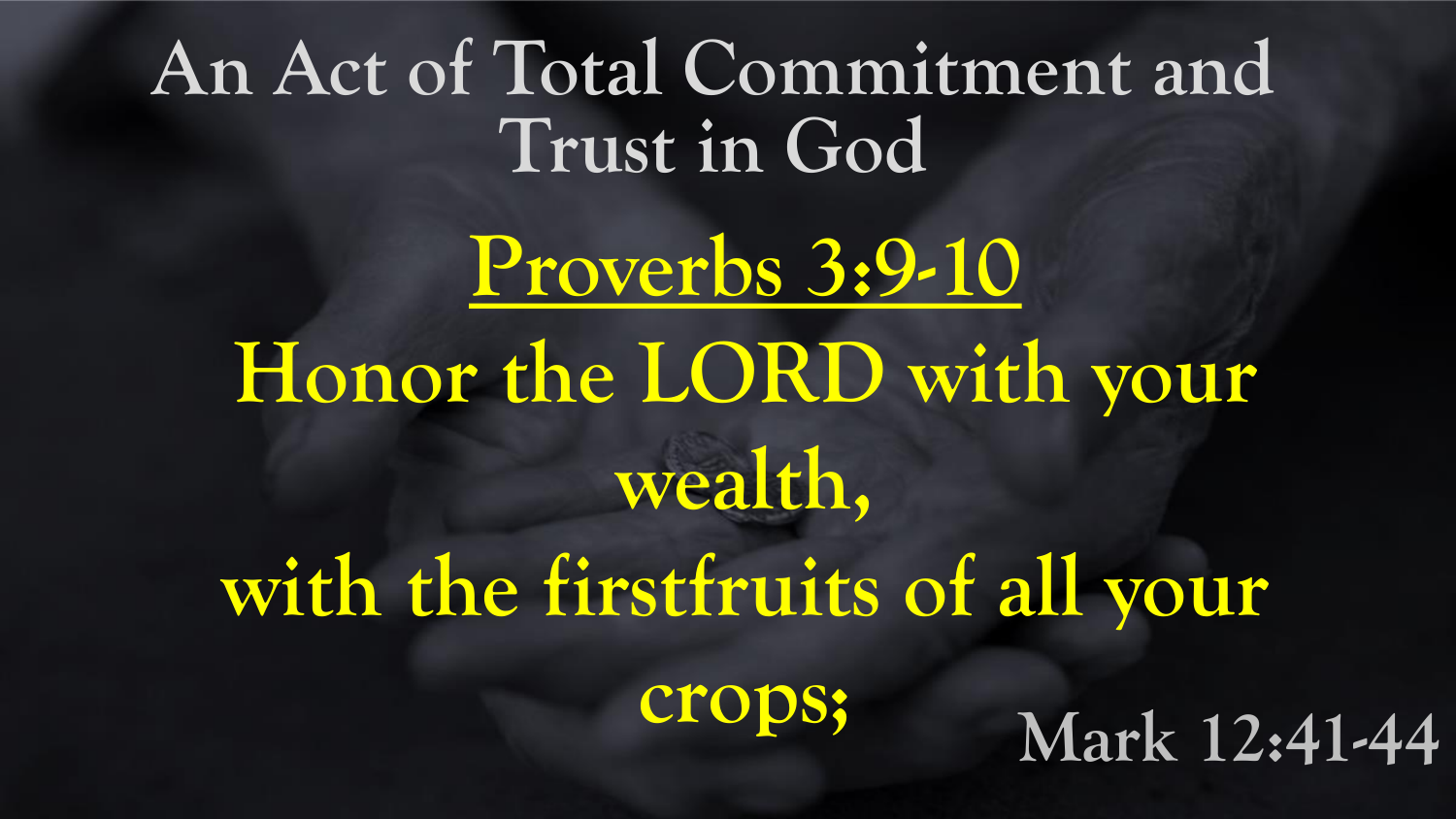### **An Act of Total Commitment and Trust in God**

# **Proverbs 3:9-10 Honor the LORD with your wealth, with the firstfruits of all your crops; Mark 12:41-44**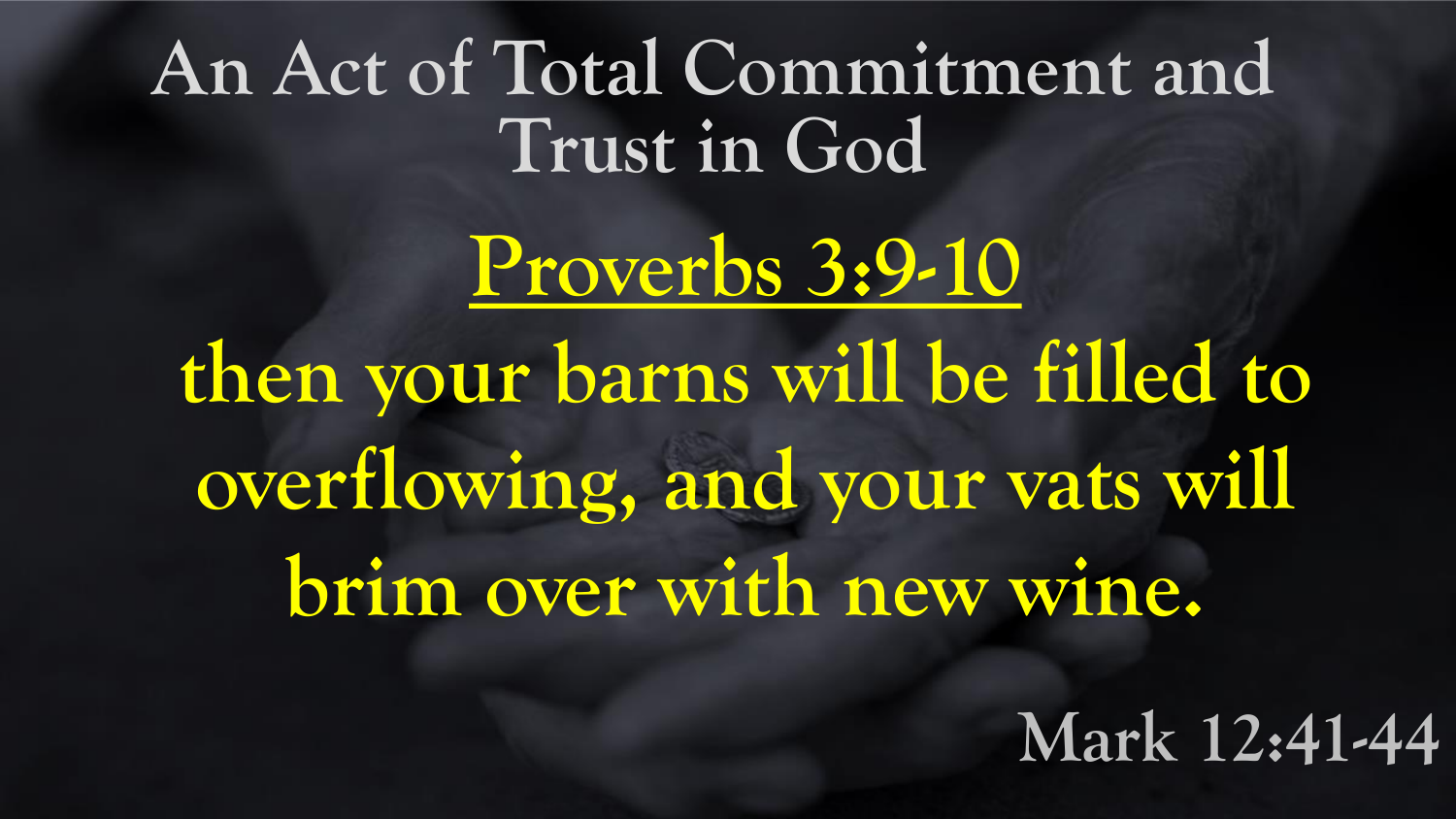**An Act of Total Commitment and Trust in God**

**Proverbs 3:9-10**

**then your barns will be filled to overflowing, and your vats will brim over with new wine.**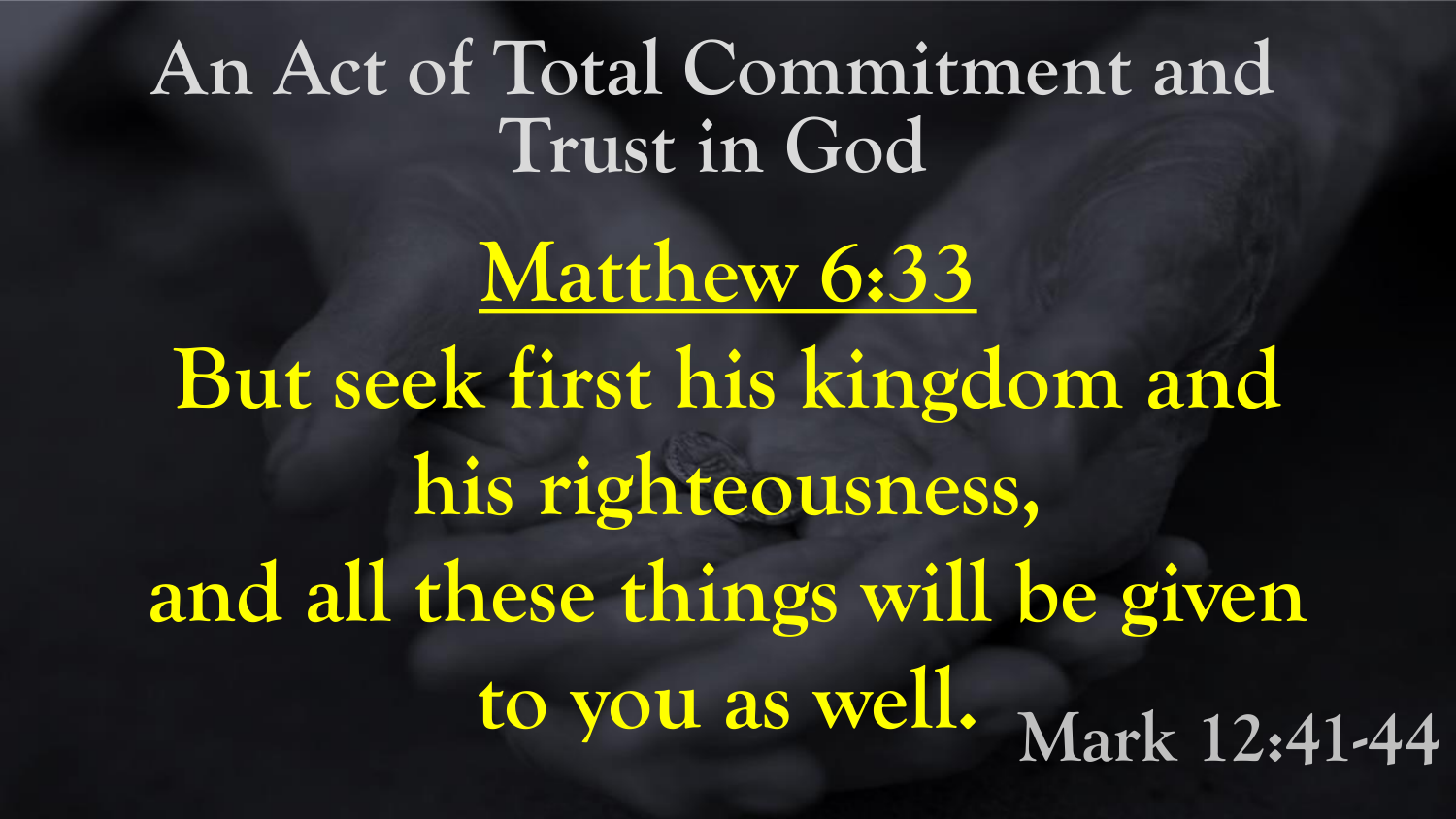### **An Act of Total Commitment and Trust in God**

**Matthew 6:33 But seek first his kingdom and his righteousness, and all these things will be given to you as well. Mark 12:41-44**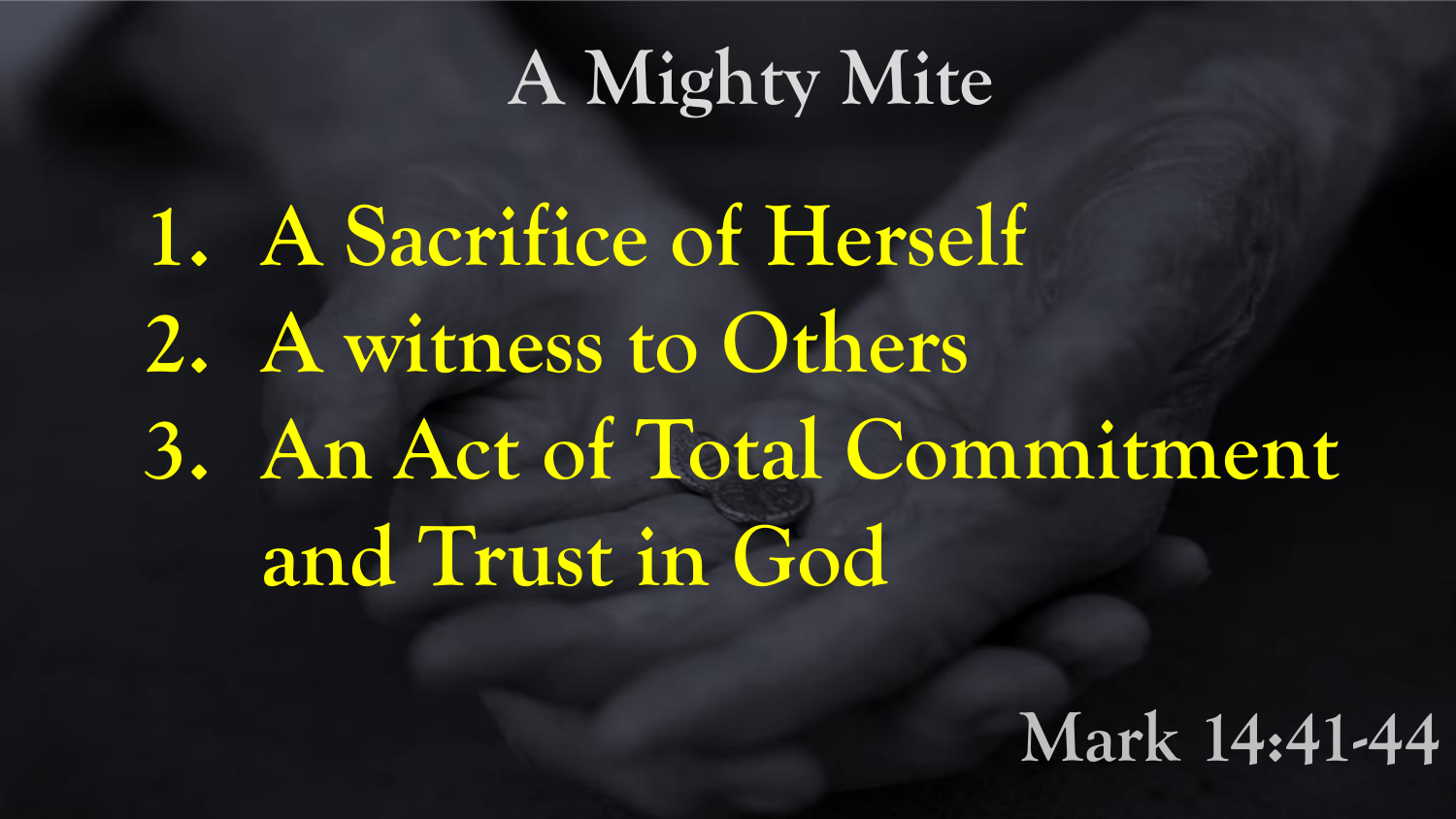**1. A Sacrifice of Herself 2. A witness to Others 3. An Act of Total Commitment and Trust in God**